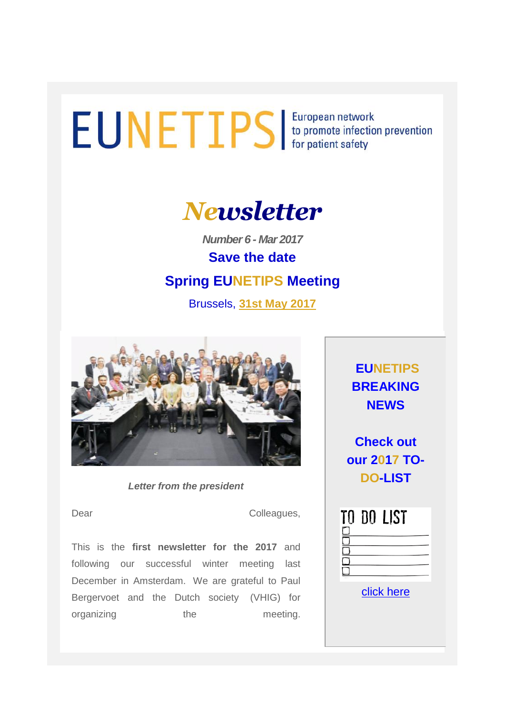# EUNETIPS European network<br>for patient safety



*Number 6 - Mar 2017* **Save the date**

# **Spring EUNETIPS Meeting**

Brussels, **31st May 2017**



*Letter from the president*

Dear Colleagues,

This is the **first newsletter for the 2017** and following our successful winter meeting last December in Amsterdam. We are grateful to Paul Bergervoet and the Dutch society (VHIG) for organizing the meeting.

**EUNETIPS BREAKING NEWS**

**Check out our 2017 TO-DO-LIST**

|  | DO LIST |  |
|--|---------|--|
|  |         |  |
|  |         |  |
|  |         |  |
|  |         |  |

[click here](http://uk-essen.us10.list-manage1.com/track/click?u=8af78916e641c36b8c944781f&id=f18cd3c6a3&e=739ae3b7b8)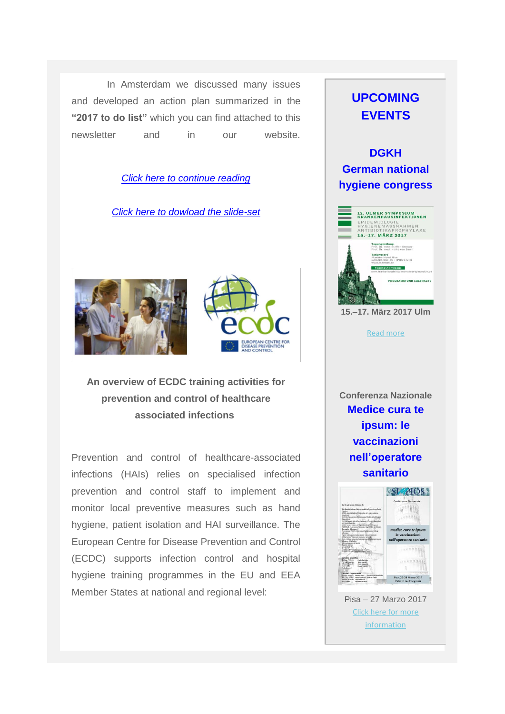In Amsterdam we discussed many issues and developed an action plan summarized in the **"2017 to do list"** which you can find attached to this newsletter and in our website.

#### *[Click here to continue reading](http://uk-essen.us10.list-manage1.com/track/click?u=8af78916e641c36b8c944781f&id=54859d7aa4&e=739ae3b7b8)*

*[Click here to dowload the slide-set](http://uk-essen.us10.list-manage.com/track/click?u=8af78916e641c36b8c944781f&id=c32e532490&e=739ae3b7b8)*





**An overview of ECDC training activities for prevention and control of healthcare associated infections**

Prevention and control of healthcare-associated infections (HAIs) relies on specialised infection prevention and control staff to implement and monitor local preventive measures such as hand hygiene, patient isolation and HAI surveillance. The European Centre for Disease Prevention and Control (ECDC) supports infection control and hospital hygiene training programmes in the EU and EEA Member States at national and regional level:

## **UPCOMING EVENTS**

**DGKH German national hygiene congress** 



**15.–17. März 2017 Ulm**

[Read more](http://uk-essen.us10.list-manage1.com/track/click?u=8af78916e641c36b8c944781f&id=1848a4b370&e=739ae3b7b8)

**Conferenza Nazionale Medice cura te ipsum: le vaccinazioni nell'operatore sanitario**



Pisa – 27 Marzo 2017 [Click here for more](http://uk-essen.us10.list-manage.com/track/click?u=8af78916e641c36b8c944781f&id=02de4292ce&e=739ae3b7b8)  [information](http://uk-essen.us10.list-manage.com/track/click?u=8af78916e641c36b8c944781f&id=02de4292ce&e=739ae3b7b8)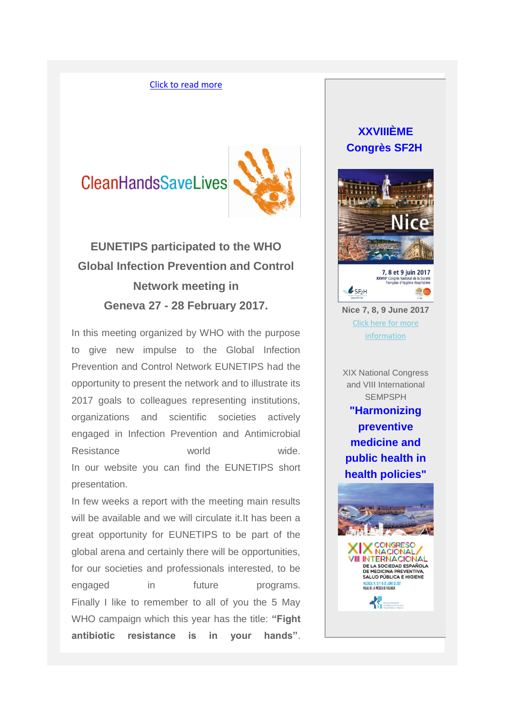#### [Click to read more](http://uk-essen.us10.list-manage.com/track/click?u=8af78916e641c36b8c944781f&id=81ea67564c&e=739ae3b7b8)

# **CleanHandsSaveLives**



# **EUNETIPS participated to the WHO Global Infection Prevention and Control Network meeting in Geneva 27 - 28 February 2017.**

In this meeting organized by WHO with the purpose to give new impulse to the Global Infection Prevention and Control Network EUNETIPS had the opportunity to present the network and to illustrate its 2017 goals to colleagues representing institutions, organizations and scientific societies actively engaged in Infection Prevention and Antimicrobial Resistance world wide. In our website you can find the EUNETIPS short presentation.

In few weeks a report with the meeting main results will be available and we will circulate it. It has been a great opportunity for EUNETIPS to be part of the global arena and certainly there will be opportunities, for our societies and professionals interested, to be engaged in future programs. Finally I like to remember to all of you the 5 May WHO campaign which this year has the title: **"Fight antibiotic resistance is in your hands"**.

### **XXVIIIÈME Congrès SF2H**





**Nice 7, 8, 9 June 2017** [Click here for more](http://uk-essen.us10.list-manage1.com/track/click?u=8af78916e641c36b8c944781f&id=2ef060a5eb&e=739ae3b7b8)  [information](http://uk-essen.us10.list-manage1.com/track/click?u=8af78916e641c36b8c944781f&id=2ef060a5eb&e=739ae3b7b8)

XIX National Congress and VIII International **SEMPSPH** 

**"Harmonizing preventive medicine and public health in health policies"**

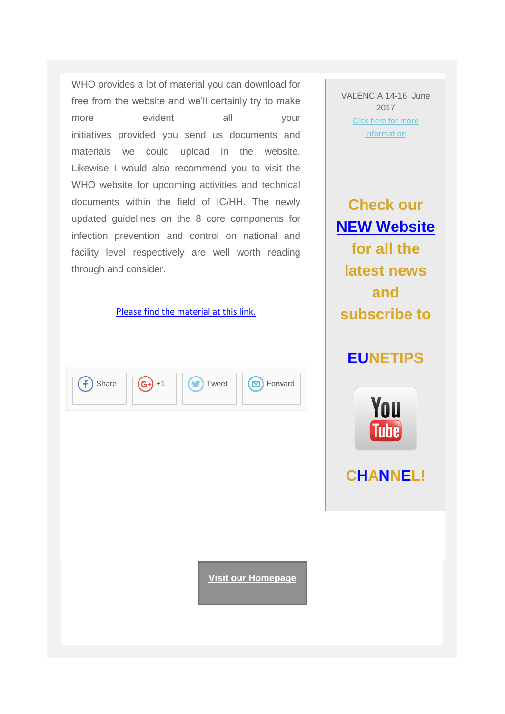WHO provides a lot of material you can download for free from the website and we'll certainly try to make more evident all your initiatives provided you send us documents and materials we could upload in the website. Likewise I would also recommend you to visit the WHO website for upcoming activities and technical documents within the field of IC/HH. The newly updated guidelines on the 8 core components for infection prevention and control on national and facility level respectively are well worth reading through and consider.

#### [Please find the material at this link.](http://uk-essen.us10.list-manage.com/track/click?u=8af78916e641c36b8c944781f&id=9e9b29e231&e=739ae3b7b8)



VALENCIA 14-16 June 2017 [Click here for more](http://uk-essen.us10.list-manage.com/track/click?u=8af78916e641c36b8c944781f&id=90c6d993c3&e=739ae3b7b8)  [information](http://uk-essen.us10.list-manage.com/track/click?u=8af78916e641c36b8c944781f&id=90c6d993c3&e=739ae3b7b8)

**Check our [NEW Website](http://uk-essen.us10.list-manage.com/track/click?u=8af78916e641c36b8c944781f&id=9881f53b2c&e=739ae3b7b8) for all the latest news and subscribe to**

## **EUNETIPS**



# **CHANNEL!**

**[Visit our Homepage](http://uk-essen.us10.list-manage.com/track/click?u=8af78916e641c36b8c944781f&id=700af8a421&e=739ae3b7b8)**